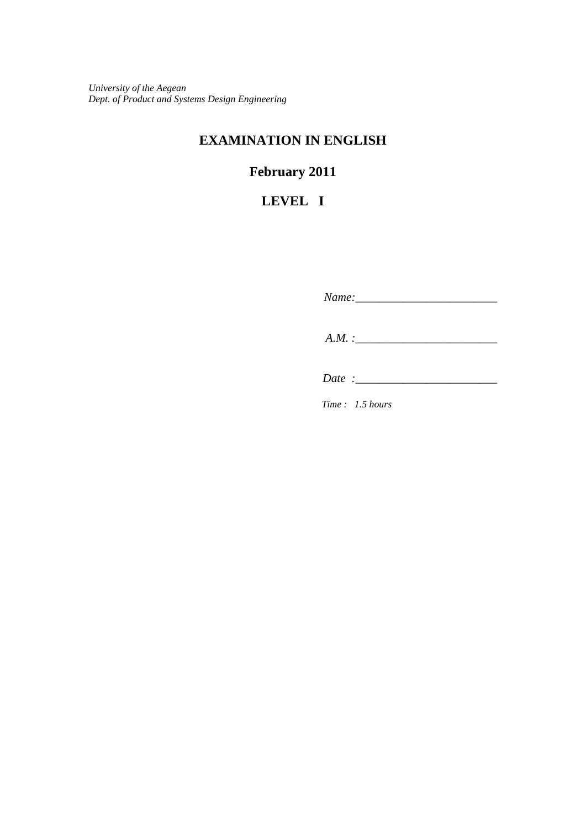*University of the Aegean Dept. of Product and Systems Design Engineering*

## **EXAMINATION IN ENGLISH**

# **February 2011**

## **LEVEL I**

 *Name:\_\_\_\_\_\_\_\_\_\_\_\_\_\_\_\_\_\_\_\_\_\_\_\_ A.M. :\_\_\_\_\_\_\_\_\_\_\_\_\_\_\_\_\_\_\_\_\_\_\_\_* 

 *Date :\_\_\_\_\_\_\_\_\_\_\_\_\_\_\_\_\_\_\_\_\_\_\_\_*

*Time : 1.5 hours*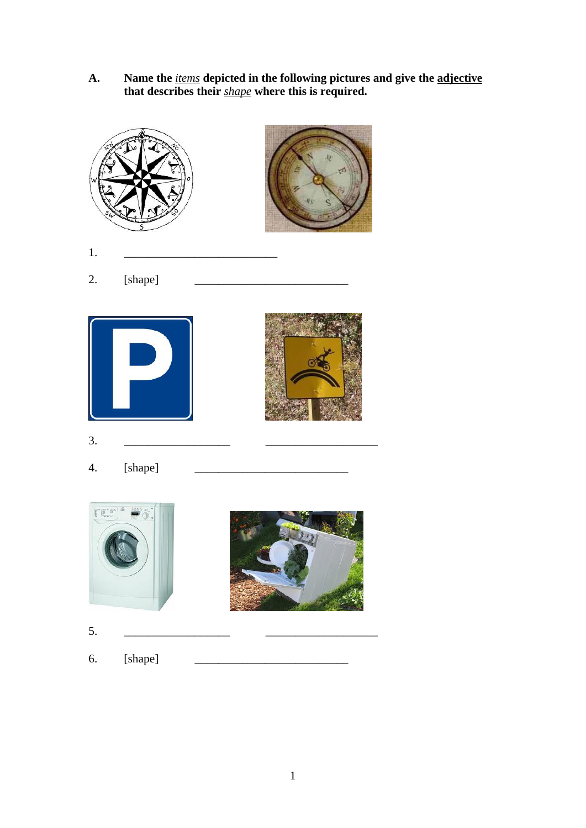**A. Name the** *items* **depicted in the following pictures and give the adjective that describes their** *shape* **where this is required.** 



- 1. <u>\_\_\_\_\_\_\_\_\_\_\_\_\_\_\_\_\_\_\_\_\_\_\_\_\_</u>
- 2. [shape]



4. [shape] \_\_\_\_\_\_\_\_\_\_\_\_\_\_\_\_\_\_\_\_\_\_\_\_\_\_





5. \_\_\_\_\_\_\_\_\_\_\_\_\_\_\_\_\_\_ \_\_\_\_\_\_\_\_\_\_\_\_\_\_\_\_\_\_\_

6. [shape]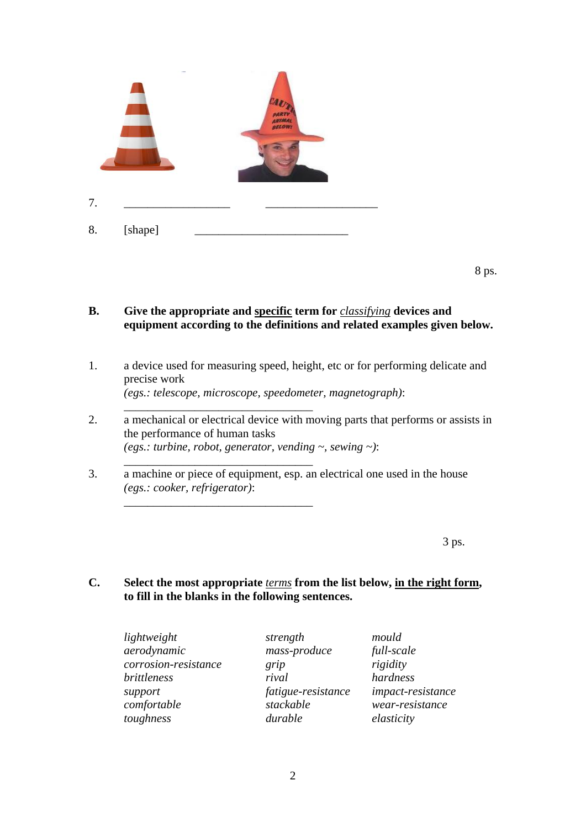

\_\_\_\_\_\_\_\_\_\_\_\_\_\_\_\_\_\_\_\_\_\_\_\_\_\_\_\_\_\_\_\_

\_\_\_\_\_\_\_\_\_\_\_\_\_\_\_\_\_\_\_\_\_\_\_\_\_\_\_\_\_\_\_\_

\_\_\_\_\_\_\_\_\_\_\_\_\_\_\_\_\_\_\_\_\_\_\_\_\_\_\_\_\_\_\_\_

8 ps.

#### **B. Give the appropriate and specific term for** *classifying* **devices and equipment according to the definitions and related examples given below.**

- 1. a device used for measuring speed, height, etc or for performing delicate and precise work  *(egs.: telescope, microscope, speedometer, magnetograph)*:
- 2. a mechanical or electrical device with moving parts that performs or assists in the performance of human tasks  *(egs.: turbine, robot, generator, vending ~, sewing ~)*:
- 3. a machine or piece of equipment, esp. an electrical one used in the house  *(egs.: cooker, refrigerator)*:

 $3 \text{ ps.}$ 

#### **C. Select the most appropriate** *terms* **from the list below, in the right form, to fill in the blanks in the following sentences.**

| strength           | mould             |
|--------------------|-------------------|
| mass-produce       | full-scale        |
| grip               | rigidity          |
| rival              | hardness          |
| fatigue-resistance | impact-resistance |
| stackable          | wear-resistance   |
| durable            | elasticity        |
|                    |                   |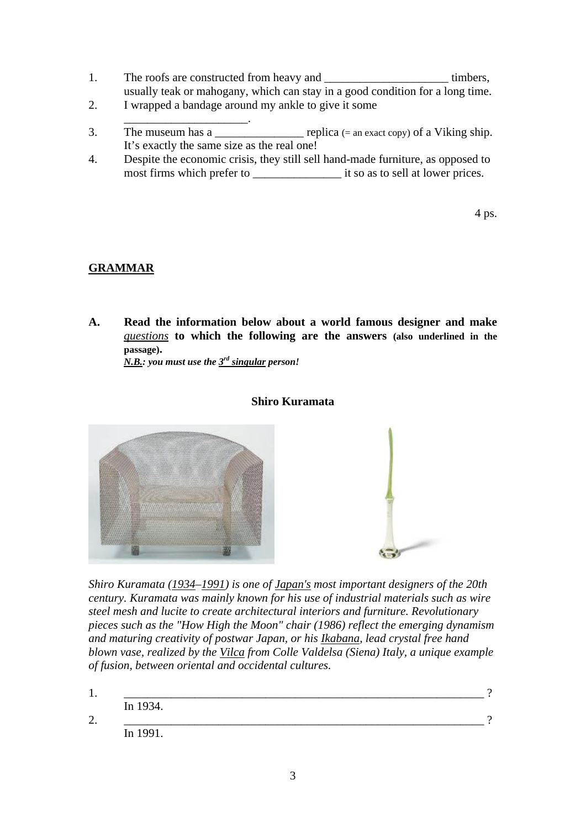- 1. The roofs are constructed from heavy and \_\_\_\_\_\_\_\_\_\_\_\_\_\_\_\_\_\_\_\_\_\_\_\_\_\_\_\_ timbers, usually teak or mahogany, which can stay in a good condition for a long time.
- 2. I wrapped a bandage around my ankle to give it some
- $\frac{1}{2}$  ,  $\frac{1}{2}$  ,  $\frac{1}{2}$  ,  $\frac{1}{2}$  ,  $\frac{1}{2}$  ,  $\frac{1}{2}$  ,  $\frac{1}{2}$  ,  $\frac{1}{2}$  ,  $\frac{1}{2}$  ,  $\frac{1}{2}$  ,  $\frac{1}{2}$  ,  $\frac{1}{2}$  ,  $\frac{1}{2}$  ,  $\frac{1}{2}$  ,  $\frac{1}{2}$  ,  $\frac{1}{2}$  ,  $\frac{1}{2}$  ,  $\frac{1}{2}$  ,  $\frac{1$ 3. The museum has a  $\qquad \qquad$  replica (= an exact copy) of a Viking ship. It's exactly the same size as the real one!
- 4. Despite the economic crisis, they still sell hand-made furniture, as opposed to most firms which prefer to \_\_\_\_\_\_\_\_\_\_\_\_\_\_\_ it so as to sell at lower prices.

4 ps.

### **GRAMMAR**

**A. Read the information below about a world famous designer and make**  *questions* **to which the following are the answers (also underlined in the passage).** 

*N.B.: you must use the 3rd singular person!* 

#### **Shiro Kuramata**



*Shiro Kuramata (1934–1991) is one of [Japan's](http://en.wikipedia.org/wiki/Japan) most important [designers](http://en.wikipedia.org/wiki/Designer) of the 20th century. Kuramata was mainly known for his use of industrial materials such as [wire](http://en.wikipedia.org/wiki/Chicken_wire)  [steel mesh](http://en.wikipedia.org/wiki/Chicken_wire) and [lucite](http://en.wikipedia.org/wiki/Lucite) to create architectural interiors and [furniture](http://en.wikipedia.org/wiki/Furniture). Revolutionary pieces such as the "How High the Moon" chair (1986) reflect the emerging [dynamism](http://en.wikipedia.org/wiki/Dynamism) and maturing creativity of postwar [Japan,](http://en.wikipedia.org/wiki/Japan) or his [Ikabana,](http://en.wikipedia.org/w/index.php?title=Ikabana&action=edit&redlink=1) lead crystal free hand blown vase, realized by the [Vilca](http://en.wikipedia.org/wiki/Vilca) from Colle Valdelsa [\(Siena\)](http://en.wikipedia.org/wiki/Siena) [Italy,](http://en.wikipedia.org/wiki/Italy) a unique example of fusion, between oriental and occidental cultures.* 

1. \_\_\_\_\_\_\_\_\_\_\_\_\_\_\_\_\_\_\_\_\_\_\_\_\_\_\_\_\_\_\_\_\_\_\_\_\_\_\_\_\_\_\_\_\_\_\_\_\_\_\_\_\_\_\_\_\_\_\_\_\_ ? In 1934. 2. \_\_\_\_\_\_\_\_\_\_\_\_\_\_\_\_\_\_\_\_\_\_\_\_\_\_\_\_\_\_\_\_\_\_\_\_\_\_\_\_\_\_\_\_\_\_\_\_\_\_\_\_\_\_\_\_\_\_\_\_\_ ? In 1991.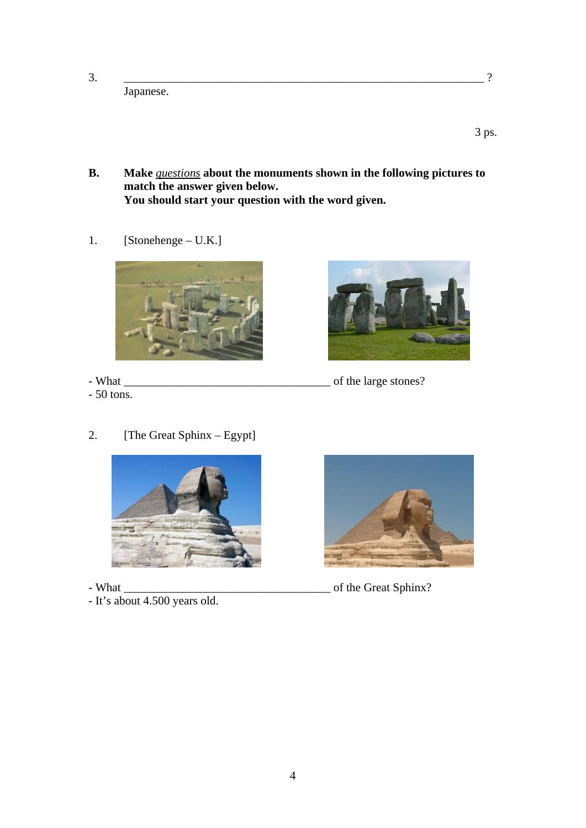3. \_\_\_\_\_\_\_\_\_\_\_\_\_\_\_\_\_\_\_\_\_\_\_\_\_\_\_\_\_\_\_\_\_\_\_\_\_\_\_\_\_\_\_\_\_\_\_\_\_\_\_\_\_\_\_\_\_\_\_\_\_ ?

 $3 \text{ ps.}$ 

**B. Make** *questions* **about the monuments shown in the following pictures to match the answer given below.** 

 **You should start your question with the word given.** 

1. [Stonehenge – U.K.]

Japanese.



- 50 tons.



- What \_\_\_\_\_\_\_\_\_\_\_\_\_\_\_\_\_\_\_\_\_\_\_\_\_\_\_\_\_\_\_\_\_\_\_ of the large stones?
- 2. [The Great Sphinx Egypt]



- It's about 4.500 years old.



- What \_\_\_\_\_\_\_\_\_\_\_\_\_\_\_\_\_\_\_\_\_\_\_\_\_\_\_\_\_\_\_\_\_\_\_ of the Great Sphinx?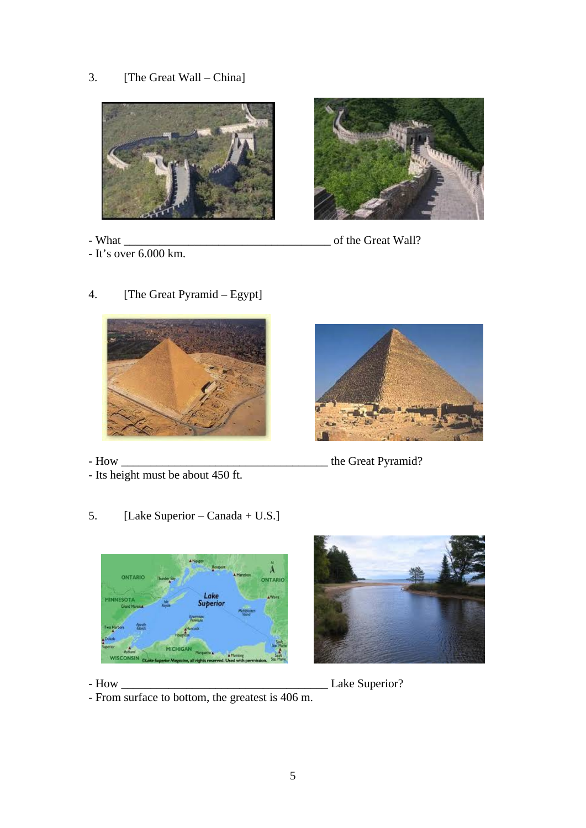### 3. [The Great Wall – China]



- 
- It's over 6.000 km.



- What \_\_\_\_\_\_\_\_\_\_\_\_\_\_\_\_\_\_\_\_\_\_\_\_\_\_\_\_\_\_\_\_\_\_\_ of the Great Wall?
	-

4. [The Great Pyramid – Egypt]

- Its height must be about 450 ft.
- 5. [Lake Superior Canada + U.S.]



- How \_\_\_\_\_\_\_\_\_\_\_\_\_\_\_\_\_\_\_\_\_\_\_\_\_\_\_\_\_\_\_\_\_\_\_ the Great Pyramid?





- How \_\_\_\_\_\_\_\_\_\_\_\_\_\_\_\_\_\_\_\_\_\_\_\_\_\_\_\_\_\_\_\_\_\_\_ Lake Superior?

- From surface to bottom, the greatest is 406 m.